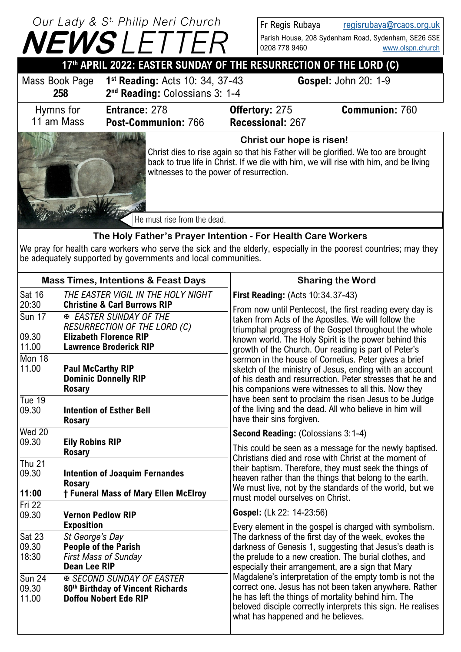|                                                                    | Our Lady & S <sup>t.</sup> Philip Neri Church |                                                                                                                                                                                                                        | Fr Regis Rubaya             | regisrubaya@rcaos.org.uk                            |  |  |
|--------------------------------------------------------------------|-----------------------------------------------|------------------------------------------------------------------------------------------------------------------------------------------------------------------------------------------------------------------------|-----------------------------|-----------------------------------------------------|--|--|
|                                                                    | <b>NEWSLETTER</b>                             |                                                                                                                                                                                                                        |                             | Parish House, 208 Sydenham Road, Sydenham, SE26 5SE |  |  |
|                                                                    |                                               |                                                                                                                                                                                                                        | 0208 778 9460               | www.olspn.church                                    |  |  |
| 17th APRIL 2022: EASTER SUNDAY OF THE RESURRECTION OF THE LORD (C) |                                               |                                                                                                                                                                                                                        |                             |                                                     |  |  |
| Mass Book Page                                                     | 1 <sup>st</sup> Reading: Acts 10: 34, 37-43   |                                                                                                                                                                                                                        | <b>Gospel: John 20: 1-9</b> |                                                     |  |  |
| 258                                                                | 2 <sup>nd</sup> Reading: Colossians 3: 1-4    |                                                                                                                                                                                                                        |                             |                                                     |  |  |
| Hymns for                                                          | <b>Entrance: 278</b>                          | <b>Offertory: 275</b>                                                                                                                                                                                                  |                             | <b>Communion: 760</b>                               |  |  |
| 11 am Mass                                                         | Post-Communion: 766                           |                                                                                                                                                                                                                        | Recessional: 267            |                                                     |  |  |
|                                                                    | Christ our hope is risen!                     |                                                                                                                                                                                                                        |                             |                                                     |  |  |
|                                                                    |                                               | Christ dies to rise again so that his Father will be glorified. We too are brought<br>back to true life in Christ. If we die with him, we will rise with him, and be living<br>witnesses to the power of resurrection. |                             |                                                     |  |  |
|                                                                    | He must rise from the dead.                   |                                                                                                                                                                                                                        |                             |                                                     |  |  |

## **The Holy Father's Prayer Intention - For Health Care Workers**

We pray for health care workers who serve the sick and the elderly, especially in the poorest countries; may they be adequately supported by governments and local communities.

|                                                                                                                                          | <b>Mass Times, Intentions &amp; Feast Days</b>                                                        | <b>Sharing the Word</b>                                                                                                                                                                                                                                                                                                                                                                                                                                                                                            |  |
|------------------------------------------------------------------------------------------------------------------------------------------|-------------------------------------------------------------------------------------------------------|--------------------------------------------------------------------------------------------------------------------------------------------------------------------------------------------------------------------------------------------------------------------------------------------------------------------------------------------------------------------------------------------------------------------------------------------------------------------------------------------------------------------|--|
| <b>Sat 16</b><br>20:30                                                                                                                   | THE EASTER VIGIL IN THE HOLY NIGHT<br><b>Christine &amp; Carl Burrows RIP</b>                         | <b>First Reading: (Acts 10:34.37-43)</b>                                                                                                                                                                                                                                                                                                                                                                                                                                                                           |  |
| <b>Sun 17</b>                                                                                                                            | <b>EASTER SUNDAY OF THE</b><br><b>RESURRECTION OF THE LORD (C)</b>                                    | From now until Pentecost, the first reading every day is<br>taken from Acts of the Apostles. We will follow the<br>triumphal progress of the Gospel throughout the whole                                                                                                                                                                                                                                                                                                                                           |  |
| 09.30<br>11.00                                                                                                                           | <b>Elizabeth Florence RIP</b><br><b>Lawrence Broderick RIP</b>                                        | known world. The Holy Spirit is the power behind this<br>growth of the Church. Our reading is part of Peter's                                                                                                                                                                                                                                                                                                                                                                                                      |  |
| Mon 18<br>11.00<br><b>Paul McCarthy RIP</b><br><b>Dominic Donnelly RIP</b><br><b>Rosary</b>                                              |                                                                                                       | sermon in the house of Cornelius. Peter gives a brief<br>sketch of the ministry of Jesus, ending with an account<br>of his death and resurrection. Peter stresses that he and<br>his companions were witnesses to all this. Now they                                                                                                                                                                                                                                                                               |  |
| Tue $19$<br>09.30                                                                                                                        | <b>Intention of Esther Bell</b><br><b>Rosary</b>                                                      | have been sent to proclaim the risen Jesus to be Judge<br>of the living and the dead. All who believe in him will<br>have their sins forgiven.                                                                                                                                                                                                                                                                                                                                                                     |  |
| Wed 20                                                                                                                                   |                                                                                                       | <b>Second Reading: (Colossians 3:1-4)</b>                                                                                                                                                                                                                                                                                                                                                                                                                                                                          |  |
| 09.30                                                                                                                                    | <b>Eily Robins RIP</b><br><b>Rosary</b>                                                               | This could be seen as a message for the newly baptised.                                                                                                                                                                                                                                                                                                                                                                                                                                                            |  |
| <b>Thu 21</b><br>09.30<br><b>Intention of Joaquim Fernandes</b><br><b>Rosary</b><br>11:00<br><b>† Funeral Mass of Mary Ellen McElroy</b> |                                                                                                       | Christians died and rose with Christ at the moment of<br>their baptism. Therefore, they must seek the things of<br>heaven rather than the things that belong to the earth.<br>We must live, not by the standards of the world, but we<br>must model ourselves on Christ.                                                                                                                                                                                                                                           |  |
| Fri 22                                                                                                                                   |                                                                                                       | Gospel: (Lk 22: 14-23:56)                                                                                                                                                                                                                                                                                                                                                                                                                                                                                          |  |
| 09.30                                                                                                                                    | <b>Vernon Pedlow RIP</b><br><b>Exposition</b>                                                         | Every element in the gospel is charged with symbolism.                                                                                                                                                                                                                                                                                                                                                                                                                                                             |  |
| Sat 23<br>09.30<br>18:30                                                                                                                 | St George's Day<br><b>People of the Parish</b><br><b>First Mass of Sunday</b><br><b>Dean Lee RIP</b>  | The darkness of the first day of the week, evokes the<br>darkness of Genesis 1, suggesting that Jesus's death is<br>the prelude to a new creation. The burial clothes, and<br>especially their arrangement, are a sign that Mary<br>Magdalene's interpretation of the empty tomb is not the<br>correct one. Jesus has not been taken anywhere. Rather<br>he has left the things of mortality behind him. The<br>beloved disciple correctly interprets this sign. He realises<br>what has happened and he believes. |  |
| <b>Sun 24</b><br>09.30<br>11.00                                                                                                          | <b>E SECOND SUNDAY OF EASTER</b><br>80th Birthday of Vincent Richards<br><b>Doffou Nobert Ede RIP</b> |                                                                                                                                                                                                                                                                                                                                                                                                                                                                                                                    |  |